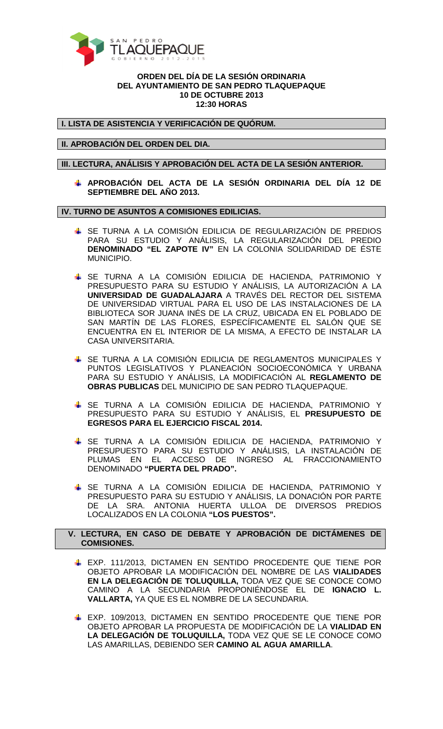

## **ORDEN DEL DÍA DE LA SESIÓN ORDINARIA DEL AYUNTAMIENTO DE SAN PEDRO TLAQUEPAQUE 10 DE OCTUBRE 2013 12:30 HORAS**

**I. LISTA DE ASISTENCIA Y VERIFICACIÓN DE QUÓRUM.** 

**II. APROBACIÓN DEL ORDEN DEL DIA.** 

**III. LECTURA, ANÁLISIS Y APROBACIÓN DEL ACTA DE LA SESIÓN ANTERIOR.** 

**APROBACIÓN DEL ACTA DE LA SESIÓN ORDINARIA DEL DÍA 12 DE SEPTIEMBRE DEL AÑO 2013.** 

**IV. TURNO DE ASUNTOS A COMISIONES EDILICIAS.** 

- SE TURNA A LA COMISIÓN EDILICIA DE REGULARIZACIÓN DE PREDIOS PARA SU ESTUDIO Y ANÁLISIS, LA REGULARIZACIÓN DEL PREDIO **DENOMINADO "EL ZAPOTE IV"** EN LA COLONIA SOLIDARIDAD DE ÉSTE MUNICIPIO.
- SE TURNA A LA COMISIÓN EDILICIA DE HACIENDA, PATRIMONIO Y PRESUPUESTO PARA SU ESTUDIO Y ANÁLISIS, LA AUTORIZACIÓN A LA **UNIVERSIDAD DE GUADALAJARA** A TRAVÉS DEL RECTOR DEL SISTEMA DE UNIVERSIDAD VIRTUAL PARA EL USO DE LAS INSTALACIONES DE LA BIBLIOTECA SOR JUANA INÉS DE LA CRUZ, UBICADA EN EL POBLADO DE SAN MARTÍN DE LAS FLORES, ESPECÍFICAMENTE EL SALÓN QUE SE ENCUENTRA EN EL INTERIOR DE LA MISMA, A EFECTO DE INSTALAR LA CASA UNIVERSITARIA.
- **↓** SE TURNA A LA COMISIÓN EDILICIA DE REGLAMENTOS MUNICIPALES Y PUNTOS LEGISLATIVOS Y PLANEACIÓN SOCIOECONÓMICA Y URBANA PARA SU ESTUDIO Y ANÁLISIS, LA MODIFICACIÓN AL **REGLAMENTO DE OBRAS PUBLICAS** DEL MUNICIPIO DE SAN PEDRO TLAQUEPAQUE.
- SE TURNA A LA COMISIÓN EDILICIA DE HACIENDA, PATRIMONIO Y PRESUPUESTO PARA SU ESTUDIO Y ANÁLISIS, EL **PRESUPUESTO DE EGRESOS PARA EL EJERCICIO FISCAL 2014.**
- SE TURNA A LA COMISIÓN EDILICIA DE HACIENDA, PATRIMONIO Y PRESUPUESTO PARA SU ESTUDIO Y ANÁLISIS, LA INSTALACIÓN DE PLUMAS EN EL ACCESO DE INGRESO AL FRACCIONAMIENTO DENOMINADO **"PUERTA DEL PRADO".**
- SE TURNA A LA COMISIÓN EDILICIA DE HACIENDA, PATRIMONIO Y PRESUPUESTO PARA SU ESTUDIO Y ANÁLISIS, LA DONACIÓN POR PARTE DE LA SRA. ANTONIA HUERTA ULLOA DE DIVERSOS PREDIOS LOCALIZADOS EN LA COLONIA **"LOS PUESTOS".**

## **V. LECTURA, EN CASO DE DEBATE Y APROBACIÓN DE DICTÁMENES DE COMISIONES.**

- EXP. 111/2013, DICTAMEN EN SENTIDO PROCEDENTE QUE TIENE POR OBJETO APROBAR LA MODIFICACIÓN DEL NOMBRE DE LAS **VIALIDADES EN LA DELEGACIÓN DE TOLUQUILLA,** TODA VEZ QUE SE CONOCE COMO CAMINO A LA SECUNDARIA PROPONIÉNDOSE EL DE **IGNACIO L. VALLARTA,** YA QUE ES EL NOMBRE DE LA SECUNDARIA.
- EXP. 109/2013, DICTAMEN EN SENTIDO PROCEDENTE QUE TIENE POR OBJETO APROBAR LA PROPUESTA DE MODIFICACIÓN DE LA **VIALIDAD EN LA DELEGACIÓN DE TOLUQUILLA,** TODA VEZ QUE SE LE CONOCE COMO LAS AMARILLAS, DEBIENDO SER **CAMINO AL AGUA AMARILLA**.